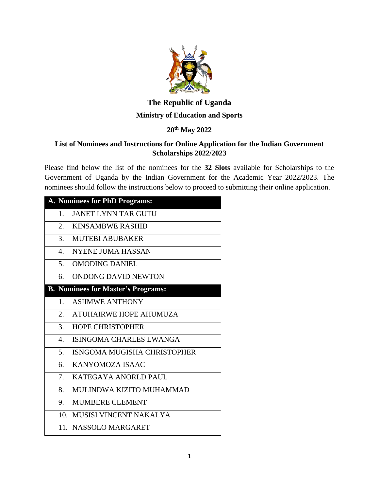

# **The Republic of Uganda Ministry of Education and Sports**

## **20th May 2022**

### **List of Nominees and Instructions for Online Application for the Indian Government Scholarships 2022/2023**

Please find below the list of the nominees for the **32 Slots** available for Scholarships to the Government of Uganda by the Indian Government for the Academic Year 2022/2023. The nominees should follow the instructions below to proceed to submitting their online application.

| A. Nominees for PhD Programs: |                                           |
|-------------------------------|-------------------------------------------|
| 1.                            | <b>JANET LYNN TAR GUTU</b>                |
| 2.                            | <b>KINSAMBWE RASHID</b>                   |
|                               | 3. MUTEBI ABUBAKER                        |
| 4.                            | <b>NYENE JUMA HASSAN</b>                  |
| 5.                            | <b>OMODING DANIEL</b>                     |
| 6.                            | ONDONG DAVID NEWTON                       |
|                               | <b>B. Nominees for Master's Programs:</b> |
| 1.                            | <b>ASIIMWE ANTHONY</b>                    |
|                               | 2. ATUHAIRWE HOPE AHUMUZA                 |
| 3.                            | <b>HOPE CHRISTOPHER</b>                   |
| 4.                            | <b>ISINGOMA CHARLES LWANGA</b>            |
| 5.                            | ISNGOMA MUGISHA CHRISTOPHER               |
| 6.                            | KANYOMOZA ISAAC                           |
| 7.                            | KATEGAYA ANORLD PAUL                      |
| 8.                            | MULINDWA KIZITO MUHAMMAD                  |
| 9.                            | <b>MUMBERE CLEMENT</b>                    |
|                               | 10. MUSISI VINCENT NAKALYA                |
|                               | 11. NASSOLO MARGARET                      |
|                               |                                           |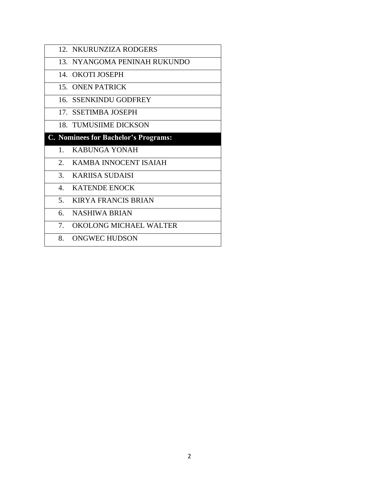|         | 12. NKURUNZIZA RODGERS               |
|---------|--------------------------------------|
|         | 13. NYANGOMA PENINAH RUKUNDO         |
|         | 14. OKOTI JOSEPH                     |
|         | 15 ONEN PATRICK                      |
|         | 16. SSENKINDU GODFREY                |
|         | 17. SSETIMBA JOSEPH                  |
|         | 18. TUMUSIIME DICKSON                |
|         | C. Nominees for Bachelor's Programs: |
| $1_{-}$ | KABUNGA YONAH                        |
| 2.      | KAMBA INNOCENT ISAIAH                |
| 3.      | KARIISA SUDAISI                      |
|         | 4. KATENDE ENOCK                     |
| 5.      | <b>KIRYA FRANCIS BRIAN</b>           |
| 6.      | NASHIWA BRIAN                        |
| 7.      | OKOLONG MICHAEL WALTER               |
|         | 8. ONGWEC HUDSON                     |
|         |                                      |